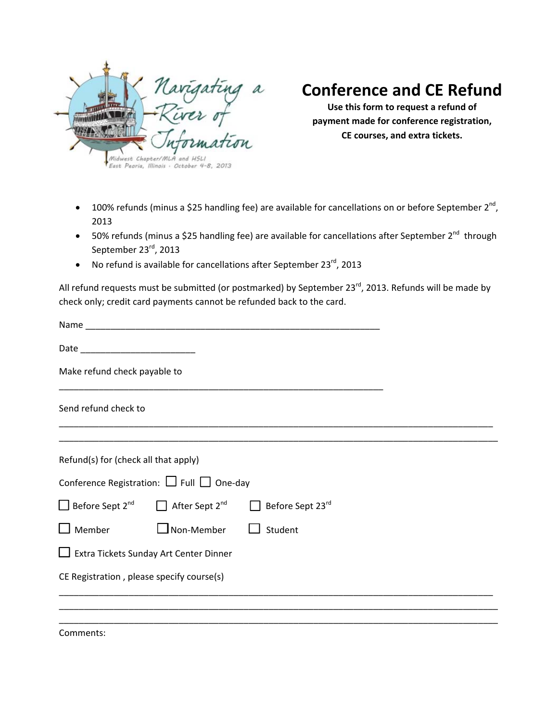

## **Conference and CE Refund**

**Use this form to request a refund of payment made for conference registration, CE courses, and extra tickets.**

- 100% refunds (minus a \$25 handling fee) are available for cancellations on or before September 2<sup>nd</sup>, 2013
- 50% refunds (minus a \$25 handling fee) are available for cancellations after September 2<sup>nd</sup> through September 23rd, 2013
- $\bullet$  No refund is available for cancellations after September 23 $^{rd}$ , 2013

All refund requests must be submitted (or postmarked) by September 23<sup>rd</sup>, 2013. Refunds will be made by check only; credit card payments cannot be refunded back to the card.

| Make refund check payable to                  |                                                     |                                                                                                          |  |  |
|-----------------------------------------------|-----------------------------------------------------|----------------------------------------------------------------------------------------------------------|--|--|
| Send refund check to                          |                                                     |                                                                                                          |  |  |
| Refund(s) for (check all that apply)          |                                                     |                                                                                                          |  |  |
|                                               | Conference Registration: $\Box$ Full $\Box$ One-day |                                                                                                          |  |  |
|                                               |                                                     | $\Box$ Before Sept 2 <sup>nd</sup> $\Box$ After Sept 2 <sup>nd</sup> $\Box$ Before Sept 23 <sup>rd</sup> |  |  |
|                                               | $\square$ Member $\square$ Non-Member $\square$     | Student                                                                                                  |  |  |
| $\Box$ Extra Tickets Sunday Art Center Dinner |                                                     |                                                                                                          |  |  |
| CE Registration, please specify course(s)     |                                                     |                                                                                                          |  |  |
|                                               |                                                     |                                                                                                          |  |  |
|                                               |                                                     |                                                                                                          |  |  |

Comments: